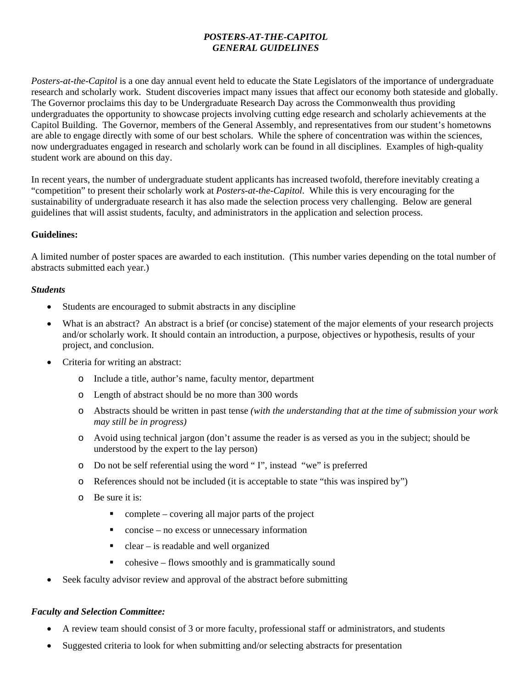## *POSTERS-AT-THE-CAPITOL GENERAL GUIDELINES*

*Posters-at-the-Capitol* is a one day annual event held to educate the State Legislators of the importance of undergraduate research and scholarly work. Student discoveries impact many issues that affect our economy both stateside and globally. The Governor proclaims this day to be Undergraduate Research Day across the Commonwealth thus providing undergraduates the opportunity to showcase projects involving cutting edge research and scholarly achievements at the Capitol Building. The Governor, members of the General Assembly, and representatives from our student's hometowns are able to engage directly with some of our best scholars. While the sphere of concentration was within the sciences, now undergraduates engaged in research and scholarly work can be found in all disciplines. Examples of high-quality student work are abound on this day.

In recent years, the number of undergraduate student applicants has increased twofold, therefore inevitably creating a "competition" to present their scholarly work at *Posters-at-the-Capitol*. While this is very encouraging for the sustainability of undergraduate research it has also made the selection process very challenging. Below are general guidelines that will assist students, faculty, and administrators in the application and selection process.

## **Guidelines:**

A limited number of poster spaces are awarded to each institution. (This number varies depending on the total number of abstracts submitted each year.)

## *Students*

- Students are encouraged to submit abstracts in any discipline
- What is an abstract? An abstract is a brief (or concise) statement of the major elements of your research projects and/or scholarly work. It should contain an introduction, a purpose, objectives or hypothesis, results of your project, and conclusion.
- Criteria for writing an abstract:
	- o Include a title, author's name, faculty mentor, department
	- o Length of abstract should be no more than 300 words
	- o Abstracts should be written in past tense *(with the understanding that at the time of submission your work may still be in progress)*
	- o Avoid using technical jargon (don't assume the reader is as versed as you in the subject; should be understood by the expert to the lay person)
	- o Do not be self referential using the word " I", instead "we" is preferred
	- o References should not be included (it is acceptable to state "this was inspired by")
	- o Be sure it is:
		- $\blacksquare$  complete covering all major parts of the project
		- concise no excess or unnecessary information
		- $\blacksquare$  clear is readable and well organized
		- cohesive flows smoothly and is grammatically sound
- Seek faculty advisor review and approval of the abstract before submitting

## *Faculty and Selection Committee:*

- A review team should consist of 3 or more faculty, professional staff or administrators, and students
- Suggested criteria to look for when submitting and/or selecting abstracts for presentation